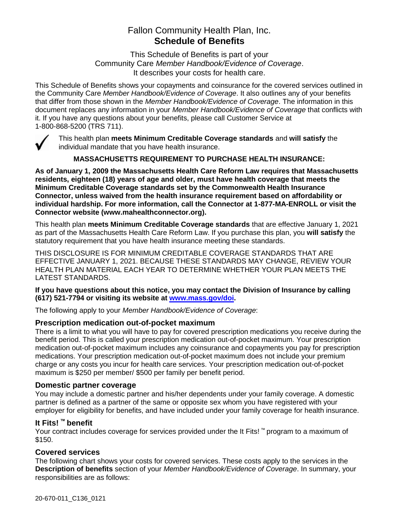# Fallon Community Health Plan, Inc. **Schedule of Benefits**

This Schedule of Benefits is part of your Community Care *Member Handbook/Evidence of Coverage*. It describes your costs for health care.

This Schedule of Benefits shows your copayments and coinsurance for the covered services outlined in the Community Care *Member Handbook/Evidence of Coverage*. It also outlines any of your benefits that differ from those shown in the *Member Handbook/Evidence of Coverage*. The information in this document replaces any information in your *Member Handbook/Evidence of Coverage* that conflicts with it. If you have any questions about your benefits, please call Customer Service at 1-800-868-5200 (TRS 711).



This health plan **meets Minimum Creditable Coverage standards** and **will satisfy** the individual mandate that you have health insurance.

#### **MASSACHUSETTS REQUIREMENT TO PURCHASE HEALTH INSURANCE:**

**As of January 1, 2009 the Massachusetts Health Care Reform Law requires that Massachusetts residents, eighteen (18) years of age and older, must have health coverage that meets the Minimum Creditable Coverage standards set by the Commonwealth Health Insurance Connector, unless waived from the health insurance requirement based on affordability or individual hardship. For more information, call the Connector at 1-877-MA-ENROLL or visit the Connector website (www.mahealthconnector.org).** 

This health plan **meets Minimum Creditable Coverage standards** that are effective January 1, 2021 as part of the Massachusetts Health Care Reform Law. If you purchase this plan, you **will satisfy** the statutory requirement that you have health insurance meeting these standards.

THIS DISCLOSURE IS FOR MINIMUM CREDITABLE COVERAGE STANDARDS THAT ARE EFFECTIVE JANUARY 1, 2021. BECAUSE THESE STANDARDS MAY CHANGE, REVIEW YOUR HEALTH PLAN MATERIAL EACH YEAR TO DETERMINE WHETHER YOUR PLAN MEETS THE LATEST STANDARDS.

**If you have questions about this notice, you may contact the Division of Insurance by calling (617) 521-7794 or visiting its website at [www.mass.gov/doi.](http://www.mass.gov/doi)** 

The following apply to your *Member Handbook/Evidence of Coverage*:

#### **Prescription medication out-of-pocket maximum**

There is a limit to what you will have to pay for covered prescription medications you receive during the benefit period. This is called your prescription medication out-of-pocket maximum. Your prescription medication out-of-pocket maximum includes any coinsurance and copayments you pay for prescription medications. Your prescription medication out-of-pocket maximum does not include your premium charge or any costs you incur for health care services. Your prescription medication out-of-pocket maximum is \$250 per member/ \$500 per family per benefit period.

#### **Domestic partner coverage**

You may include a domestic partner and his/her dependents under your family coverage. A domestic partner is defined as a partner of the same or opposite sex whom you have registered with your employer for eligibility for benefits, and have included under your family coverage for health insurance.

#### **It Fits! ™ benefit**

Your contract includes coverage for services provided under the It Fits! ™ program to a maximum of \$150.

#### **Covered services**

The following chart shows your costs for covered services. These costs apply to the services in the **Description of benefits** section of your *Member Handbook/Evidence of Coverage*. In summary, your responsibilities are as follows: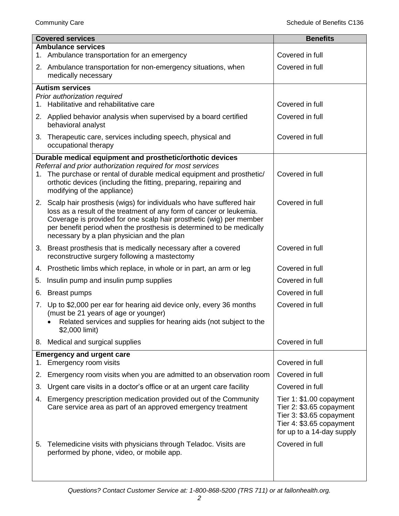|    | <b>Covered services</b>                                                                                                                                                                                                                                                                                                                     | <b>Benefits</b>                                                                                                                           |
|----|---------------------------------------------------------------------------------------------------------------------------------------------------------------------------------------------------------------------------------------------------------------------------------------------------------------------------------------------|-------------------------------------------------------------------------------------------------------------------------------------------|
|    | <b>Ambulance services</b><br>1. Ambulance transportation for an emergency                                                                                                                                                                                                                                                                   | Covered in full                                                                                                                           |
|    | 2. Ambulance transportation for non-emergency situations, when                                                                                                                                                                                                                                                                              | Covered in full                                                                                                                           |
|    | medically necessary                                                                                                                                                                                                                                                                                                                         |                                                                                                                                           |
|    | <b>Autism services</b>                                                                                                                                                                                                                                                                                                                      |                                                                                                                                           |
|    | Prior authorization required<br>1. Habilitative and rehabilitative care                                                                                                                                                                                                                                                                     | Covered in full                                                                                                                           |
|    | 2. Applied behavior analysis when supervised by a board certified<br>behavioral analyst                                                                                                                                                                                                                                                     | Covered in full                                                                                                                           |
|    | 3. Therapeutic care, services including speech, physical and<br>occupational therapy                                                                                                                                                                                                                                                        | Covered in full                                                                                                                           |
|    | Durable medical equipment and prosthetic/orthotic devices                                                                                                                                                                                                                                                                                   |                                                                                                                                           |
|    | Referral and prior authorization required for most services<br>1. The purchase or rental of durable medical equipment and prosthetic/<br>orthotic devices (including the fitting, preparing, repairing and<br>modifying of the appliance)                                                                                                   | Covered in full                                                                                                                           |
|    | 2. Scalp hair prosthesis (wigs) for individuals who have suffered hair<br>loss as a result of the treatment of any form of cancer or leukemia.<br>Coverage is provided for one scalp hair prosthetic (wig) per member<br>per benefit period when the prosthesis is determined to be medically<br>necessary by a plan physician and the plan | Covered in full                                                                                                                           |
|    | 3. Breast prosthesis that is medically necessary after a covered<br>reconstructive surgery following a mastectomy                                                                                                                                                                                                                           | Covered in full                                                                                                                           |
|    | 4. Prosthetic limbs which replace, in whole or in part, an arm or leg                                                                                                                                                                                                                                                                       | Covered in full                                                                                                                           |
| 5. | Insulin pump and insulin pump supplies                                                                                                                                                                                                                                                                                                      | Covered in full                                                                                                                           |
| 6. | <b>Breast pumps</b>                                                                                                                                                                                                                                                                                                                         | Covered in full                                                                                                                           |
|    | 7. Up to \$2,000 per ear for hearing aid device only, every 36 months<br>(must be 21 years of age or younger)<br>Related services and supplies for hearing aids (not subject to the<br>\$2,000 limit)                                                                                                                                       | Covered in full                                                                                                                           |
|    | 8. Medical and surgical supplies                                                                                                                                                                                                                                                                                                            | Covered in full                                                                                                                           |
| 1. | <b>Emergency and urgent care</b><br>Emergency room visits                                                                                                                                                                                                                                                                                   | Covered in full                                                                                                                           |
| 2. | Emergency room visits when you are admitted to an observation room                                                                                                                                                                                                                                                                          | Covered in full                                                                                                                           |
| 3. | Urgent care visits in a doctor's office or at an urgent care facility                                                                                                                                                                                                                                                                       | Covered in full                                                                                                                           |
| 4. | Emergency prescription medication provided out of the Community<br>Care service area as part of an approved emergency treatment                                                                                                                                                                                                             | Tier 1: \$1.00 copayment<br>Tier 2: \$3.65 copayment<br>Tier 3: \$3.65 copayment<br>Tier 4: \$3.65 copayment<br>for up to a 14-day supply |
| 5. | Telemedicine visits with physicians through Teladoc. Visits are<br>performed by phone, video, or mobile app.                                                                                                                                                                                                                                | Covered in full                                                                                                                           |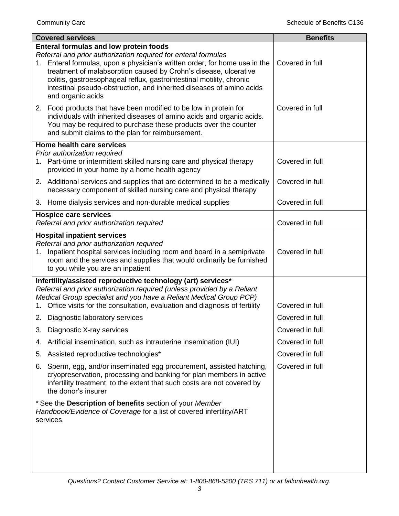| <b>Covered services</b>                                                                                                                                                                                                                                                                                                                                                                                           | <b>Benefits</b> |
|-------------------------------------------------------------------------------------------------------------------------------------------------------------------------------------------------------------------------------------------------------------------------------------------------------------------------------------------------------------------------------------------------------------------|-----------------|
| <b>Enteral formulas and low protein foods</b><br>Referral and prior authorization required for enteral formulas<br>1. Enteral formulas, upon a physician's written order, for home use in the<br>treatment of malabsorption caused by Crohn's disease, ulcerative<br>colitis, gastroesophageal reflux, gastrointestinal motility, chronic<br>intestinal pseudo-obstruction, and inherited diseases of amino acids | Covered in full |
| and organic acids<br>2. Food products that have been modified to be low in protein for<br>individuals with inherited diseases of amino acids and organic acids.<br>You may be required to purchase these products over the counter<br>and submit claims to the plan for reimbursement.                                                                                                                            | Covered in full |
| Home health care services<br>Prior authorization required<br>1. Part-time or intermittent skilled nursing care and physical therapy<br>provided in your home by a home health agency                                                                                                                                                                                                                              | Covered in full |
| 2. Additional services and supplies that are determined to be a medically<br>necessary component of skilled nursing care and physical therapy                                                                                                                                                                                                                                                                     | Covered in full |
| 3. Home dialysis services and non-durable medical supplies                                                                                                                                                                                                                                                                                                                                                        | Covered in full |
| <b>Hospice care services</b><br>Referral and prior authorization required                                                                                                                                                                                                                                                                                                                                         | Covered in full |
| <b>Hospital inpatient services</b><br>Referral and prior authorization required<br>1. Inpatient hospital services including room and board in a semiprivate<br>room and the services and supplies that would ordinarily be furnished<br>to you while you are an inpatient                                                                                                                                         | Covered in full |
| Infertility/assisted reproductive technology (art) services*<br>Referral and prior authorization required (unless provided by a Reliant<br>Medical Group specialist and you have a Reliant Medical Group PCP)<br>Office visits for the consultation, evaluation and diagnosis of fertility<br>1.                                                                                                                  | Covered in full |
| 2. Diagnostic laboratory services                                                                                                                                                                                                                                                                                                                                                                                 | Covered in full |
| 3.<br>Diagnostic X-ray services                                                                                                                                                                                                                                                                                                                                                                                   | Covered in full |
| Artificial insemination, such as intrauterine insemination (IUI)<br>4.                                                                                                                                                                                                                                                                                                                                            | Covered in full |
| Assisted reproductive technologies*<br>5.                                                                                                                                                                                                                                                                                                                                                                         | Covered in full |
| 6. Sperm, egg, and/or inseminated egg procurement, assisted hatching,<br>cryopreservation, processing and banking for plan members in active<br>infertility treatment, to the extent that such costs are not covered by<br>the donor's insurer                                                                                                                                                                    | Covered in full |
| * See the Description of benefits section of your Member<br>Handbook/Evidence of Coverage for a list of covered infertility/ART<br>services.                                                                                                                                                                                                                                                                      |                 |
|                                                                                                                                                                                                                                                                                                                                                                                                                   |                 |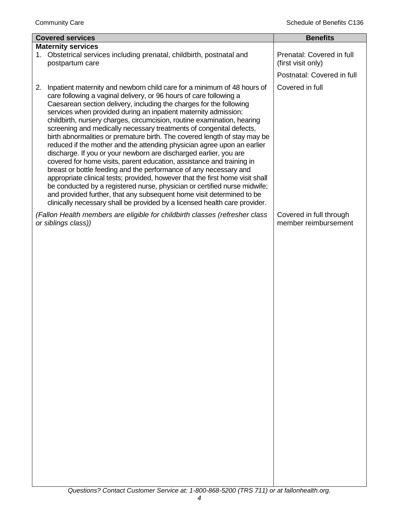| <b>Covered services</b> |                                                                                                                                                                                                                                                                                                                                                                                                                                                                                                                                                                                                                                                                                                                                                                                                                                                                                                                                                                                                                                                                                                                                           | <b>Benefits</b>                                 |
|-------------------------|-------------------------------------------------------------------------------------------------------------------------------------------------------------------------------------------------------------------------------------------------------------------------------------------------------------------------------------------------------------------------------------------------------------------------------------------------------------------------------------------------------------------------------------------------------------------------------------------------------------------------------------------------------------------------------------------------------------------------------------------------------------------------------------------------------------------------------------------------------------------------------------------------------------------------------------------------------------------------------------------------------------------------------------------------------------------------------------------------------------------------------------------|-------------------------------------------------|
|                         | <b>Maternity services</b>                                                                                                                                                                                                                                                                                                                                                                                                                                                                                                                                                                                                                                                                                                                                                                                                                                                                                                                                                                                                                                                                                                                 |                                                 |
| 1.                      | Obstetrical services including prenatal, childbirth, postnatal and<br>postpartum care                                                                                                                                                                                                                                                                                                                                                                                                                                                                                                                                                                                                                                                                                                                                                                                                                                                                                                                                                                                                                                                     | Prenatal: Covered in full<br>(first visit only) |
|                         |                                                                                                                                                                                                                                                                                                                                                                                                                                                                                                                                                                                                                                                                                                                                                                                                                                                                                                                                                                                                                                                                                                                                           | Postnatal: Covered in full                      |
| 2.                      | Inpatient maternity and newborn child care for a minimum of 48 hours of<br>care following a vaginal delivery, or 96 hours of care following a<br>Caesarean section delivery, including the charges for the following<br>services when provided during an inpatient maternity admission:<br>childbirth, nursery charges, circumcision, routine examination, hearing<br>screening and medically necessary treatments of congenital defects,<br>birth abnormalities or premature birth. The covered length of stay may be<br>reduced if the mother and the attending physician agree upon an earlier<br>discharge. If you or your newborn are discharged earlier, you are<br>covered for home visits, parent education, assistance and training in<br>breast or bottle feeding and the performance of any necessary and<br>appropriate clinical tests; provided, however that the first home visit shall<br>be conducted by a registered nurse, physician or certified nurse midwife;<br>and provided further, that any subsequent home visit determined to be<br>clinically necessary shall be provided by a licensed health care provider. | Covered in full                                 |
| or siblings class))     | (Fallon Health members are eligible for childbirth classes (refresher class                                                                                                                                                                                                                                                                                                                                                                                                                                                                                                                                                                                                                                                                                                                                                                                                                                                                                                                                                                                                                                                               | Covered in full through<br>member reimbursement |
|                         |                                                                                                                                                                                                                                                                                                                                                                                                                                                                                                                                                                                                                                                                                                                                                                                                                                                                                                                                                                                                                                                                                                                                           |                                                 |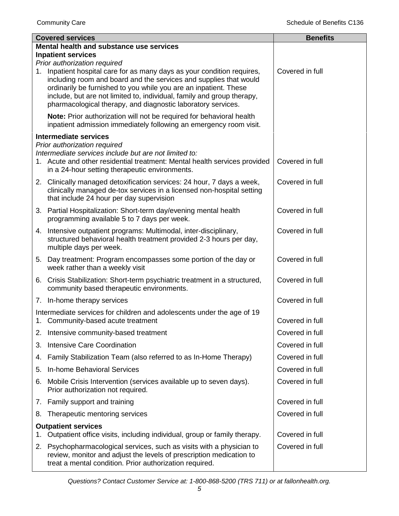|    | <b>Covered services</b>                                                                                                                                                                                                                                                                                                                                                                 | <b>Benefits</b> |
|----|-----------------------------------------------------------------------------------------------------------------------------------------------------------------------------------------------------------------------------------------------------------------------------------------------------------------------------------------------------------------------------------------|-----------------|
|    | Mental health and substance use services                                                                                                                                                                                                                                                                                                                                                |                 |
|    | <b>Inpatient services</b>                                                                                                                                                                                                                                                                                                                                                               |                 |
| 1. | Prior authorization required<br>Inpatient hospital care for as many days as your condition requires,<br>including room and board and the services and supplies that would<br>ordinarily be furnished to you while you are an inpatient. These<br>include, but are not limited to, individual, family and group therapy,<br>pharmacological therapy, and diagnostic laboratory services. | Covered in full |
|    | Note: Prior authorization will not be required for behavioral health<br>inpatient admission immediately following an emergency room visit.                                                                                                                                                                                                                                              |                 |
|    | <b>Intermediate services</b>                                                                                                                                                                                                                                                                                                                                                            |                 |
|    | Prior authorization required                                                                                                                                                                                                                                                                                                                                                            |                 |
|    | Intermediate services include but are not limited to:<br>1. Acute and other residential treatment: Mental health services provided<br>in a 24-hour setting therapeutic environments.                                                                                                                                                                                                    | Covered in full |
|    | 2. Clinically managed detoxification services: 24 hour, 7 days a week,<br>clinically managed de-tox services in a licensed non-hospital setting<br>that include 24 hour per day supervision                                                                                                                                                                                             | Covered in full |
|    | 3. Partial Hospitalization: Short-term day/evening mental health<br>programming available 5 to 7 days per week.                                                                                                                                                                                                                                                                         | Covered in full |
|    | 4. Intensive outpatient programs: Multimodal, inter-disciplinary,<br>structured behavioral health treatment provided 2-3 hours per day,<br>multiple days per week.                                                                                                                                                                                                                      | Covered in full |
|    | 5. Day treatment: Program encompasses some portion of the day or<br>week rather than a weekly visit                                                                                                                                                                                                                                                                                     | Covered in full |
|    | 6. Crisis Stabilization: Short-term psychiatric treatment in a structured,<br>community based therapeutic environments.                                                                                                                                                                                                                                                                 | Covered in full |
|    | 7. In-home therapy services                                                                                                                                                                                                                                                                                                                                                             | Covered in full |
|    | Intermediate services for children and adolescents under the age of 19<br>1. Community-based acute treatment                                                                                                                                                                                                                                                                            | Covered in full |
| 2. | Intensive community-based treatment                                                                                                                                                                                                                                                                                                                                                     | Covered in full |
| 3. | <b>Intensive Care Coordination</b>                                                                                                                                                                                                                                                                                                                                                      | Covered in full |
| 4. | Family Stabilization Team (also referred to as In-Home Therapy)                                                                                                                                                                                                                                                                                                                         | Covered in full |
| 5. | In-home Behavioral Services                                                                                                                                                                                                                                                                                                                                                             | Covered in full |
| 6. | Mobile Crisis Intervention (services available up to seven days).<br>Prior authorization not required.                                                                                                                                                                                                                                                                                  | Covered in full |
|    | 7. Family support and training                                                                                                                                                                                                                                                                                                                                                          | Covered in full |
| 8. | Therapeutic mentoring services                                                                                                                                                                                                                                                                                                                                                          | Covered in full |
|    | <b>Outpatient services</b>                                                                                                                                                                                                                                                                                                                                                              |                 |
| 1. | Outpatient office visits, including individual, group or family therapy.                                                                                                                                                                                                                                                                                                                | Covered in full |
|    | 2. Psychopharmacological services, such as visits with a physician to<br>review, monitor and adjust the levels of prescription medication to<br>treat a mental condition. Prior authorization required.                                                                                                                                                                                 | Covered in full |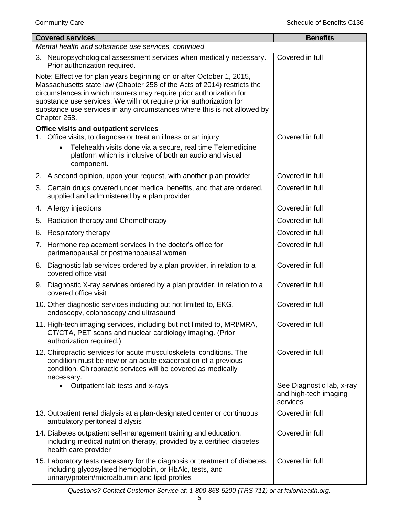|    | <b>Covered services</b>                                                                                                                                                                                                                                                                                                                                                                    | <b>Benefits</b>                                                |
|----|--------------------------------------------------------------------------------------------------------------------------------------------------------------------------------------------------------------------------------------------------------------------------------------------------------------------------------------------------------------------------------------------|----------------------------------------------------------------|
|    | Mental health and substance use services, continued                                                                                                                                                                                                                                                                                                                                        |                                                                |
|    | 3. Neuropsychological assessment services when medically necessary.<br>Prior authorization required.                                                                                                                                                                                                                                                                                       | Covered in full                                                |
|    | Note: Effective for plan years beginning on or after October 1, 2015,<br>Massachusetts state law (Chapter 258 of the Acts of 2014) restricts the<br>circumstances in which insurers may require prior authorization for<br>substance use services. We will not require prior authorization for<br>substance use services in any circumstances where this is not allowed by<br>Chapter 258. |                                                                |
|    | Office visits and outpatient services                                                                                                                                                                                                                                                                                                                                                      |                                                                |
|    | 1. Office visits, to diagnose or treat an illness or an injury<br>Telehealth visits done via a secure, real time Telemedicine<br>platform which is inclusive of both an audio and visual<br>component.                                                                                                                                                                                     | Covered in full                                                |
|    | 2. A second opinion, upon your request, with another plan provider                                                                                                                                                                                                                                                                                                                         | Covered in full                                                |
|    | 3. Certain drugs covered under medical benefits, and that are ordered,<br>supplied and administered by a plan provider                                                                                                                                                                                                                                                                     | Covered in full                                                |
|    | 4. Allergy injections                                                                                                                                                                                                                                                                                                                                                                      | Covered in full                                                |
| 5. | Radiation therapy and Chemotherapy                                                                                                                                                                                                                                                                                                                                                         | Covered in full                                                |
| 6. | Respiratory therapy                                                                                                                                                                                                                                                                                                                                                                        | Covered in full                                                |
| 7. | Hormone replacement services in the doctor's office for<br>perimenopausal or postmenopausal women                                                                                                                                                                                                                                                                                          | Covered in full                                                |
|    | 8. Diagnostic lab services ordered by a plan provider, in relation to a<br>covered office visit                                                                                                                                                                                                                                                                                            | Covered in full                                                |
|    | 9. Diagnostic X-ray services ordered by a plan provider, in relation to a<br>covered office visit                                                                                                                                                                                                                                                                                          | Covered in full                                                |
|    | 10. Other diagnostic services including but not limited to, EKG,<br>endoscopy, colonoscopy and ultrasound                                                                                                                                                                                                                                                                                  | Covered in full                                                |
|    | 11. High-tech imaging services, including but not limited to, MRI/MRA,<br>CT/CTA, PET scans and nuclear cardiology imaging. (Prior<br>authorization required.)                                                                                                                                                                                                                             | Covered in full                                                |
|    | 12. Chiropractic services for acute musculoskeletal conditions. The<br>condition must be new or an acute exacerbation of a previous<br>condition. Chiropractic services will be covered as medically<br>necessary.                                                                                                                                                                         | Covered in full                                                |
|    | Outpatient lab tests and x-rays<br>$\bullet$                                                                                                                                                                                                                                                                                                                                               | See Diagnostic lab, x-ray<br>and high-tech imaging<br>services |
|    | 13. Outpatient renal dialysis at a plan-designated center or continuous<br>ambulatory peritoneal dialysis                                                                                                                                                                                                                                                                                  | Covered in full                                                |
|    | 14. Diabetes outpatient self-management training and education,<br>including medical nutrition therapy, provided by a certified diabetes<br>health care provider                                                                                                                                                                                                                           | Covered in full                                                |
|    | 15. Laboratory tests necessary for the diagnosis or treatment of diabetes,<br>including glycosylated hemoglobin, or HbAlc, tests, and<br>urinary/protein/microalbumin and lipid profiles                                                                                                                                                                                                   | Covered in full                                                |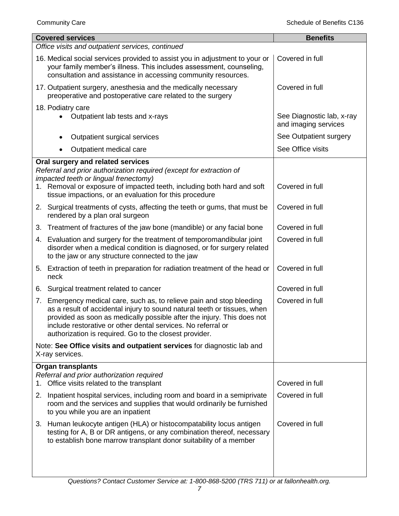|    | <b>Covered services</b>                                                                                                                                                                                                                                                                                                                            | <b>Benefits</b>                                   |
|----|----------------------------------------------------------------------------------------------------------------------------------------------------------------------------------------------------------------------------------------------------------------------------------------------------------------------------------------------------|---------------------------------------------------|
|    | Office visits and outpatient services, continued                                                                                                                                                                                                                                                                                                   |                                                   |
|    | 16. Medical social services provided to assist you in adjustment to your or<br>your family member's illness. This includes assessment, counseling,<br>consultation and assistance in accessing community resources.                                                                                                                                | Covered in full                                   |
|    | 17. Outpatient surgery, anesthesia and the medically necessary<br>preoperative and postoperative care related to the surgery                                                                                                                                                                                                                       | Covered in full                                   |
|    | 18. Podiatry care                                                                                                                                                                                                                                                                                                                                  |                                                   |
|    | Outpatient lab tests and x-rays                                                                                                                                                                                                                                                                                                                    | See Diagnostic lab, x-ray<br>and imaging services |
|    | Outpatient surgical services                                                                                                                                                                                                                                                                                                                       | See Outpatient surgery                            |
|    | Outpatient medical care<br>٠                                                                                                                                                                                                                                                                                                                       | See Office visits                                 |
|    | Oral surgery and related services<br>Referral and prior authorization required (except for extraction of<br>impacted teeth or lingual frenectomy)<br>1. Removal or exposure of impacted teeth, including both hard and soft                                                                                                                        | Covered in full                                   |
|    | tissue impactions, or an evaluation for this procedure                                                                                                                                                                                                                                                                                             |                                                   |
|    | 2. Surgical treatments of cysts, affecting the teeth or gums, that must be<br>rendered by a plan oral surgeon                                                                                                                                                                                                                                      | Covered in full                                   |
|    | 3. Treatment of fractures of the jaw bone (mandible) or any facial bone                                                                                                                                                                                                                                                                            | Covered in full                                   |
|    | 4. Evaluation and surgery for the treatment of temporomandibular joint<br>disorder when a medical condition is diagnosed, or for surgery related<br>to the jaw or any structure connected to the jaw                                                                                                                                               | Covered in full                                   |
|    | 5. Extraction of teeth in preparation for radiation treatment of the head or<br>neck                                                                                                                                                                                                                                                               | Covered in full                                   |
|    | 6. Surgical treatment related to cancer                                                                                                                                                                                                                                                                                                            | Covered in full                                   |
| 7. | Emergency medical care, such as, to relieve pain and stop bleeding<br>as a result of accidental injury to sound natural teeth or tissues, when<br>provided as soon as medically possible after the injury. This does not<br>include restorative or other dental services. No referral or<br>authorization is required. Go to the closest provider. | Covered in full                                   |
|    | Note: See Office visits and outpatient services for diagnostic lab and<br>X-ray services.                                                                                                                                                                                                                                                          |                                                   |
|    | <b>Organ transplants</b>                                                                                                                                                                                                                                                                                                                           |                                                   |
|    | Referral and prior authorization required<br>1. Office visits related to the transplant                                                                                                                                                                                                                                                            | Covered in full                                   |
|    | 2. Inpatient hospital services, including room and board in a semiprivate<br>room and the services and supplies that would ordinarily be furnished<br>to you while you are an inpatient                                                                                                                                                            | Covered in full                                   |
|    | 3. Human leukocyte antigen (HLA) or histocompatability locus antigen<br>testing for A, B or DR antigens, or any combination thereof, necessary<br>to establish bone marrow transplant donor suitability of a member                                                                                                                                | Covered in full                                   |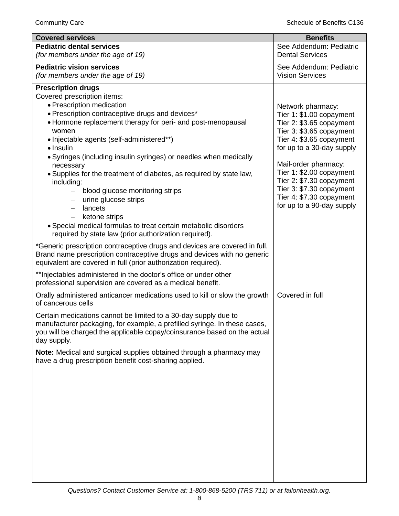| <b>Covered services</b>                                                                                                       | <b>Benefits</b>                                       |
|-------------------------------------------------------------------------------------------------------------------------------|-------------------------------------------------------|
| <b>Pediatric dental services</b>                                                                                              | See Addendum: Pediatric                               |
| (for members under the age of 19)                                                                                             | <b>Dental Services</b>                                |
| <b>Pediatric vision services</b>                                                                                              | See Addendum: Pediatric                               |
| (for members under the age of 19)                                                                                             | <b>Vision Services</b>                                |
| <b>Prescription drugs</b>                                                                                                     |                                                       |
| Covered prescription items:                                                                                                   |                                                       |
| • Prescription medication                                                                                                     | Network pharmacy:                                     |
| • Prescription contraceptive drugs and devices*                                                                               | Tier 1: \$1.00 copayment                              |
| • Hormone replacement therapy for peri- and post-menopausal                                                                   | Tier 2: \$3.65 copayment                              |
| women                                                                                                                         | Tier 3: \$3.65 copayment                              |
| • Injectable agents (self-administered**)                                                                                     | Tier 4: \$3.65 copayment                              |
| • Insulin                                                                                                                     | for up to a 30-day supply                             |
| · Syringes (including insulin syringes) or needles when medically                                                             |                                                       |
| necessary                                                                                                                     | Mail-order pharmacy:                                  |
| . Supplies for the treatment of diabetes, as required by state law,                                                           | Tier 1: \$2.00 copayment                              |
| including:                                                                                                                    | Tier 2: \$7.30 copayment                              |
| blood glucose monitoring strips                                                                                               | Tier 3: \$7.30 copayment                              |
| urine glucose strips                                                                                                          | Tier 4: \$7.30 copayment<br>for up to a 90-day supply |
| lancets                                                                                                                       |                                                       |
| ketone strips                                                                                                                 |                                                       |
| · Special medical formulas to treat certain metabolic disorders                                                               |                                                       |
| required by state law (prior authorization required).                                                                         |                                                       |
| *Generic prescription contraceptive drugs and devices are covered in full.                                                    |                                                       |
| Brand name prescription contraceptive drugs and devices with no generic                                                       |                                                       |
| equivalent are covered in full (prior authorization required).                                                                |                                                       |
| ** Injectables administered in the doctor's office or under other                                                             |                                                       |
| professional supervision are covered as a medical benefit.                                                                    |                                                       |
| Orally administered anticancer medications used to kill or slow the growth                                                    | Covered in full                                       |
| of cancerous cells                                                                                                            |                                                       |
| Certain medications cannot be limited to a 30-day supply due to                                                               |                                                       |
| manufacturer packaging, for example, a prefilled syringe. In these cases,                                                     |                                                       |
| you will be charged the applicable copay/coinsurance based on the actual                                                      |                                                       |
| day supply.                                                                                                                   |                                                       |
|                                                                                                                               |                                                       |
| Note: Medical and surgical supplies obtained through a pharmacy may<br>have a drug prescription benefit cost-sharing applied. |                                                       |
|                                                                                                                               |                                                       |
|                                                                                                                               |                                                       |
|                                                                                                                               |                                                       |
|                                                                                                                               |                                                       |
|                                                                                                                               |                                                       |
|                                                                                                                               |                                                       |
|                                                                                                                               |                                                       |
|                                                                                                                               |                                                       |
|                                                                                                                               |                                                       |
|                                                                                                                               |                                                       |
|                                                                                                                               |                                                       |
|                                                                                                                               |                                                       |
|                                                                                                                               |                                                       |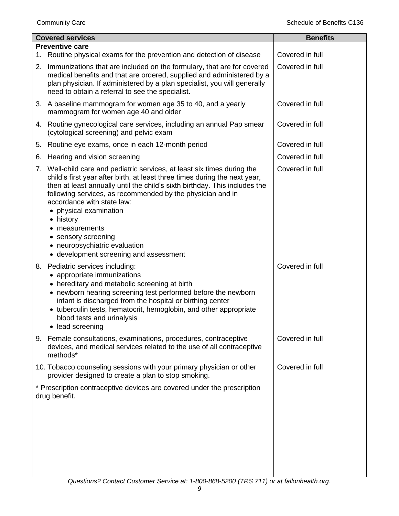| <b>Covered services</b>                                                                                                                                                                                                                                                                                                                                                                                                                                                                        | <b>Benefits</b> |
|------------------------------------------------------------------------------------------------------------------------------------------------------------------------------------------------------------------------------------------------------------------------------------------------------------------------------------------------------------------------------------------------------------------------------------------------------------------------------------------------|-----------------|
| <b>Preventive care</b><br>Routine physical exams for the prevention and detection of disease                                                                                                                                                                                                                                                                                                                                                                                                   | Covered in full |
| 1.<br>Immunizations that are included on the formulary, that are for covered<br>2.<br>medical benefits and that are ordered, supplied and administered by a<br>plan physician. If administered by a plan specialist, you will generally<br>need to obtain a referral to see the specialist.                                                                                                                                                                                                    | Covered in full |
| 3. A baseline mammogram for women age 35 to 40, and a yearly<br>mammogram for women age 40 and older                                                                                                                                                                                                                                                                                                                                                                                           | Covered in full |
| 4. Routine gynecological care services, including an annual Pap smear<br>(cytological screening) and pelvic exam                                                                                                                                                                                                                                                                                                                                                                               | Covered in full |
| Routine eye exams, once in each 12-month period<br>5.                                                                                                                                                                                                                                                                                                                                                                                                                                          | Covered in full |
| Hearing and vision screening<br>6.                                                                                                                                                                                                                                                                                                                                                                                                                                                             | Covered in full |
| Well-child care and pediatric services, at least six times during the<br>7.<br>child's first year after birth, at least three times during the next year,<br>then at least annually until the child's sixth birthday. This includes the<br>following services, as recommended by the physician and in<br>accordance with state law:<br>• physical examination<br>• history<br>• measurements<br>• sensory screening<br>• neuropsychiatric evaluation<br>• development screening and assessment | Covered in full |
| Pediatric services including:<br>8.<br>• appropriate immunizations<br>• hereditary and metabolic screening at birth<br>• newborn hearing screening test performed before the newborn<br>infant is discharged from the hospital or birthing center<br>• tuberculin tests, hematocrit, hemoglobin, and other appropriate<br>blood tests and urinalysis<br>• lead screening                                                                                                                       | Covered in full |
| 9. Female consultations, examinations, procedures, contraceptive<br>devices, and medical services related to the use of all contraceptive<br>methods*                                                                                                                                                                                                                                                                                                                                          | Covered in full |
| 10. Tobacco counseling sessions with your primary physician or other<br>provider designed to create a plan to stop smoking.                                                                                                                                                                                                                                                                                                                                                                    | Covered in full |
| * Prescription contraceptive devices are covered under the prescription<br>drug benefit.                                                                                                                                                                                                                                                                                                                                                                                                       |                 |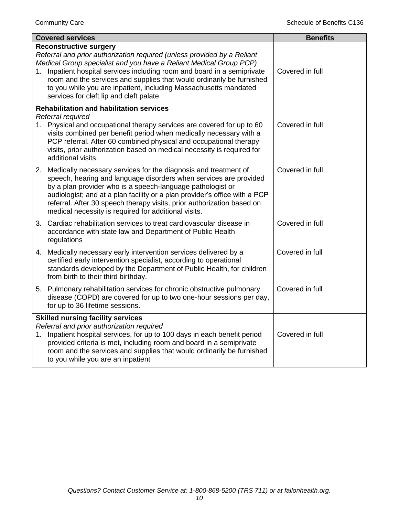| <b>Covered services</b>                                                                                                                                                                                                                                                                                                                                                                                                                            | <b>Benefits</b> |
|----------------------------------------------------------------------------------------------------------------------------------------------------------------------------------------------------------------------------------------------------------------------------------------------------------------------------------------------------------------------------------------------------------------------------------------------------|-----------------|
| <b>Reconstructive surgery</b><br>Referral and prior authorization required (unless provided by a Reliant<br>Medical Group specialist and you have a Reliant Medical Group PCP)<br>1. Inpatient hospital services including room and board in a semiprivate<br>room and the services and supplies that would ordinarily be furnished<br>to you while you are inpatient, including Massachusetts mandated<br>services for cleft lip and cleft palate | Covered in full |
| <b>Rehabilitation and habilitation services</b><br>Referral required<br>1. Physical and occupational therapy services are covered for up to 60<br>visits combined per benefit period when medically necessary with a<br>PCP referral. After 60 combined physical and occupational therapy<br>visits, prior authorization based on medical necessity is required for<br>additional visits.                                                          | Covered in full |
| 2. Medically necessary services for the diagnosis and treatment of<br>speech, hearing and language disorders when services are provided<br>by a plan provider who is a speech-language pathologist or<br>audiologist; and at a plan facility or a plan provider's office with a PCP<br>referral. After 30 speech therapy visits, prior authorization based on<br>medical necessity is required for additional visits.                              | Covered in full |
| 3. Cardiac rehabilitation services to treat cardiovascular disease in<br>accordance with state law and Department of Public Health<br>regulations                                                                                                                                                                                                                                                                                                  | Covered in full |
| 4. Medically necessary early intervention services delivered by a<br>certified early intervention specialist, according to operational<br>standards developed by the Department of Public Health, for children<br>from birth to their third birthday.                                                                                                                                                                                              | Covered in full |
| 5. Pulmonary rehabilitation services for chronic obstructive pulmonary<br>disease (COPD) are covered for up to two one-hour sessions per day,<br>for up to 36 lifetime sessions.                                                                                                                                                                                                                                                                   | Covered in full |
| <b>Skilled nursing facility services</b><br>Referral and prior authorization required<br>1. Inpatient hospital services, for up to 100 days in each benefit period<br>provided criteria is met, including room and board in a semiprivate<br>room and the services and supplies that would ordinarily be furnished<br>to you while you are an inpatient                                                                                            | Covered in full |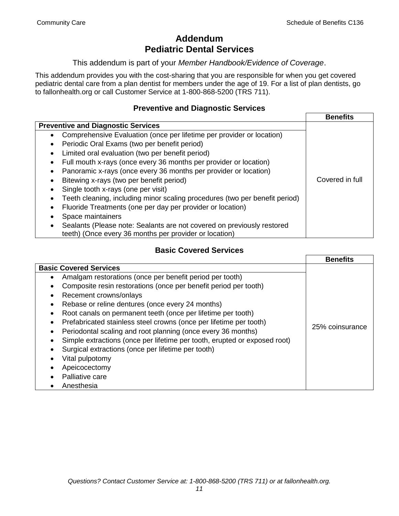# **Addendum Pediatric Dental Services**

This addendum is part of your *Member Handbook/Evidence of Coverage*.

This addendum provides you with the cost-sharing that you are responsible for when you get covered pediatric dental care from a plan dentist for members under the age of 19. For a list of plan dentists, go to fallonhealth.org or call Customer Service at 1-800-868-5200 (TRS 711).

### **Preventive and Diagnostic Services**

|                                                                                                                                  | <b>Benefits</b> |
|----------------------------------------------------------------------------------------------------------------------------------|-----------------|
| <b>Preventive and Diagnostic Services</b>                                                                                        |                 |
| Comprehensive Evaluation (once per lifetime per provider or location)<br>$\bullet$                                               |                 |
| Periodic Oral Exams (two per benefit period)<br>٠                                                                                |                 |
| Limited oral evaluation (two per benefit period)<br>٠                                                                            |                 |
| Full mouth x-rays (once every 36 months per provider or location)                                                                |                 |
| Panoramic x-rays (once every 36 months per provider or location)                                                                 |                 |
| Bitewing x-rays (two per benefit period)                                                                                         | Covered in full |
| Single tooth x-rays (one per visit)                                                                                              |                 |
| Teeth cleaning, including minor scaling procedures (two per benefit period)                                                      |                 |
| Fluoride Treatments (one per day per provider or location)                                                                       |                 |
| Space maintainers                                                                                                                |                 |
| Sealants (Please note: Sealants are not covered on previously restored<br>teeth) (Once every 36 months per provider or location) |                 |

# **Basic Covered Services**

|                                                                           | <b>Benefits</b> |
|---------------------------------------------------------------------------|-----------------|
| <b>Basic Covered Services</b>                                             |                 |
| Amalgam restorations (once per benefit period per tooth)                  |                 |
| Composite resin restorations (once per benefit period per tooth)          |                 |
| Recement crowns/onlays                                                    |                 |
| Rebase or reline dentures (once every 24 months)                          |                 |
| Root canals on permanent teeth (once per lifetime per tooth)              |                 |
| Prefabricated stainless steel crowns (once per lifetime per tooth)        |                 |
| Periodontal scaling and root planning (once every 36 months)              | 25% coinsurance |
| Simple extractions (once per lifetime per tooth, erupted or exposed root) |                 |
| Surgical extractions (once per lifetime per tooth)                        |                 |
| Vital pulpotomy                                                           |                 |
| Apeicocectomy                                                             |                 |
| Palliative care                                                           |                 |
| Anesthesia                                                                |                 |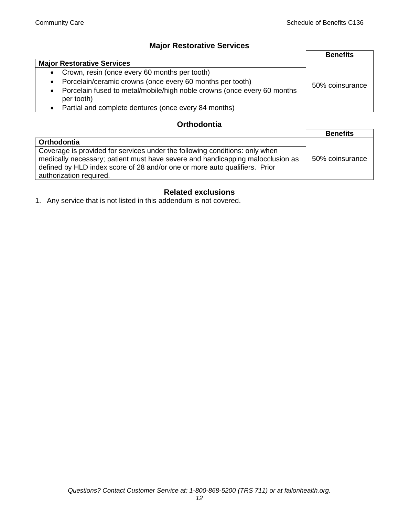# **Major Restorative Services**

|                                                                                                    | <b>Benefits</b> |
|----------------------------------------------------------------------------------------------------|-----------------|
| <b>Major Restorative Services</b>                                                                  |                 |
| Crown, resin (once every 60 months per tooth)<br>$\bullet$                                         |                 |
| Porcelain/ceramic crowns (once every 60 months per tooth)<br>$\bullet$                             | 50% coinsurance |
| Porcelain fused to metal/mobile/high noble crowns (once every 60 months<br>$\bullet$<br>per tooth) |                 |
| Partial and complete dentures (once every 84 months)<br>$\bullet$                                  |                 |

### **Orthodontia**

|                                                                                                                                                                                                                                                                        | <b>Benefits</b> |
|------------------------------------------------------------------------------------------------------------------------------------------------------------------------------------------------------------------------------------------------------------------------|-----------------|
| Orthodontia                                                                                                                                                                                                                                                            |                 |
| Coverage is provided for services under the following conditions: only when<br>medically necessary; patient must have severe and handicapping malocclusion as<br>defined by HLD index score of 28 and/or one or more auto qualifiers. Prior<br>authorization required. | 50% coinsurance |

# **Related exclusions**

1. Any service that is not listed in this addendum is not covered.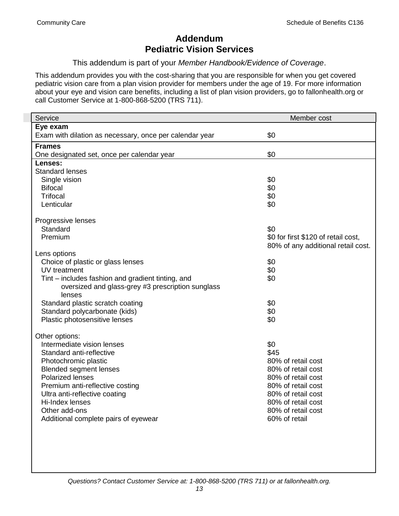# **Addendum Pediatric Vision Services**

This addendum is part of your *Member Handbook/Evidence of Coverage*.

This addendum provides you with the cost-sharing that you are responsible for when you get covered pediatric vision care from a plan vision provider for members under the age of 19. For more information about your eye and vision care benefits, including a list of plan vision providers, go to fallonhealth.org or call Customer Service at 1-800-868-5200 (TRS 711).

| Service                                                 | Member cost                         |
|---------------------------------------------------------|-------------------------------------|
| Eye exam                                                |                                     |
| Exam with dilation as necessary, once per calendar year | \$0                                 |
| <b>Frames</b>                                           |                                     |
| One designated set, once per calendar year              | \$0                                 |
| Lenses:                                                 |                                     |
| <b>Standard lenses</b>                                  |                                     |
| Single vision                                           | \$0                                 |
| <b>Bifocal</b>                                          | \$0                                 |
| Trifocal                                                | \$0                                 |
| Lenticular                                              | \$0                                 |
| Progressive lenses                                      |                                     |
| Standard                                                | \$0                                 |
| Premium                                                 | \$0 for first \$120 of retail cost, |
|                                                         | 80% of any additional retail cost.  |
| Lens options                                            |                                     |
| Choice of plastic or glass lenses                       | \$0                                 |
| UV treatment                                            | \$0                                 |
| Tint – includes fashion and gradient tinting, and       | \$0                                 |
| oversized and glass-grey #3 prescription sunglass       |                                     |
| lenses                                                  |                                     |
| Standard plastic scratch coating                        | \$0                                 |
| Standard polycarbonate (kids)                           | \$0                                 |
| Plastic photosensitive lenses                           | \$0                                 |
| Other options:                                          |                                     |
| Intermediate vision lenses                              | \$0                                 |
| Standard anti-reflective                                | \$45                                |
| Photochromic plastic                                    | 80% of retail cost                  |
| <b>Blended segment lenses</b>                           | 80% of retail cost                  |
| <b>Polarized lenses</b>                                 | 80% of retail cost                  |
| Premium anti-reflective costing                         | 80% of retail cost                  |
| Ultra anti-reflective coating                           | 80% of retail cost                  |
| Hi-Index lenses                                         | 80% of retail cost                  |
| Other add-ons                                           | 80% of retail cost                  |
| Additional complete pairs of eyewear                    | 60% of retail                       |
|                                                         |                                     |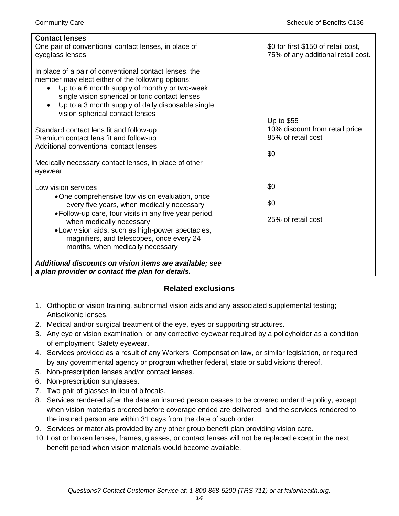| <b>Contact lenses</b>                                                                                                                                                                                                                                                                                                |                                     |
|----------------------------------------------------------------------------------------------------------------------------------------------------------------------------------------------------------------------------------------------------------------------------------------------------------------------|-------------------------------------|
| One pair of conventional contact lenses, in place of                                                                                                                                                                                                                                                                 | \$0 for first \$150 of retail cost, |
| eyeglass lenses                                                                                                                                                                                                                                                                                                      | 75% of any additional retail cost.  |
| In place of a pair of conventional contact lenses, the<br>member may elect either of the following options:<br>Up to a 6 month supply of monthly or two-week<br>single vision spherical or toric contact lenses<br>Up to a 3 month supply of daily disposable single<br>$\bullet$<br>vision spherical contact lenses | Up to \$55                          |
| Standard contact lens fit and follow-up                                                                                                                                                                                                                                                                              | 10% discount from retail price      |
| Premium contact lens fit and follow-up                                                                                                                                                                                                                                                                               | 85% of retail cost                  |
| Additional conventional contact lenses                                                                                                                                                                                                                                                                               |                                     |
|                                                                                                                                                                                                                                                                                                                      | \$0                                 |
| Medically necessary contact lenses, in place of other                                                                                                                                                                                                                                                                |                                     |
| eyewear                                                                                                                                                                                                                                                                                                              |                                     |
| Low vision services                                                                                                                                                                                                                                                                                                  | \$0                                 |
| •One comprehensive low vision evaluation, once                                                                                                                                                                                                                                                                       | \$0                                 |
| every five years, when medically necessary                                                                                                                                                                                                                                                                           |                                     |
| • Follow-up care, four visits in any five year period,<br>when medically necessary                                                                                                                                                                                                                                   | 25% of retail cost                  |
| • Low vision aids, such as high-power spectacles,                                                                                                                                                                                                                                                                    |                                     |
| magnifiers, and telescopes, once every 24                                                                                                                                                                                                                                                                            |                                     |
| months, when medically necessary                                                                                                                                                                                                                                                                                     |                                     |
| Additional discounts on vision items are available; see<br>a plan provider or contact the plan for details.                                                                                                                                                                                                          |                                     |

# **Related exclusions**

- 1. Orthoptic or vision training, subnormal vision aids and any associated supplemental testing; Aniseikonic lenses.
- 2. Medical and/or surgical treatment of the eye, eyes or supporting structures.
- 3. Any eye or vision examination, or any corrective eyewear required by a policyholder as a condition of employment; Safety eyewear.
- 4. Services provided as a result of any Workers' Compensation law, or similar legislation, or required by any governmental agency or program whether federal, state or subdivisions thereof.
- 5. Non-prescription lenses and/or contact lenses.
- 6. Non-prescription sunglasses.
- 7. Two pair of glasses in lieu of bifocals.
- 8. Services rendered after the date an insured person ceases to be covered under the policy, except when vision materials ordered before coverage ended are delivered, and the services rendered to the insured person are within 31 days from the date of such order.
- 9. Services or materials provided by any other group benefit plan providing vision care.
- 10. Lost or broken lenses, frames, glasses, or contact lenses will not be replaced except in the next benefit period when vision materials would become available.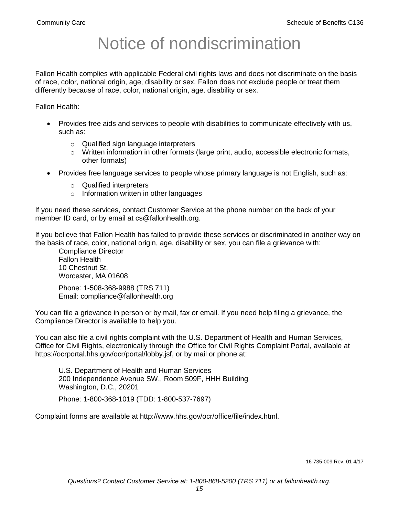# Notice of nondiscrimination

Fallon Health complies with applicable Federal civil rights laws and does not discriminate on the basis of race, color, national origin, age, disability or sex. Fallon does not exclude people or treat them differently because of race, color, national origin, age, disability or sex.

Fallon Health:

- Provides free aids and services to people with disabilities to communicate effectively with us, such as:
	- o Qualified sign language interpreters
	- $\circ$  Written information in other formats (large print, audio, accessible electronic formats, other formats)
- Provides free language services to people whose primary language is not English, such as:
	- o Qualified interpreters
	- o Information written in other languages

If you need these services, contact Customer Service at the phone number on the back of your member ID card, or by email at cs@fallonhealth.org.

If you believe that Fallon Health has failed to provide these services or discriminated in another way on the basis of race, color, national origin, age, disability or sex, you can file a grievance with:

Compliance Director Fallon Health 10 Chestnut St. Worcester, MA 01608

Phone: 1-508-368-9988 (TRS 711) Email: compliance@fallonhealth.org

You can file a grievance in person or by mail, fax or email. If you need help filing a grievance, the Compliance Director is available to help you.

You can also file a civil rights complaint with the U.S. Department of Health and Human Services, Office for Civil Rights, electronically through the Office for Civil Rights Complaint Portal, available at https://ocrportal.hhs.gov/ocr/portal/lobby.jsf, or by mail or phone at:

U.S. Department of Health and Human Services 200 Independence Avenue SW., Room 509F, HHH Building Washington, D.C., 20201

Phone: 1-800-368-1019 (TDD: 1-800-537-7697)

Complaint forms are available at http://www.hhs.gov/ocr/office/file/index.html.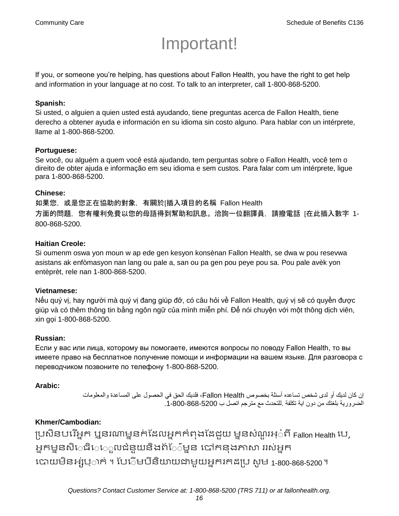# Important!

If you, or someone you're helping, has questions about Fallon Health, you have the right to get help and information in your language at no cost. To talk to an interpreter, call 1-800-868-5200.

#### **Spanish:**

Si usted, o alguien a quien usted está ayudando, tiene preguntas acerca de Fallon Health, tiene derecho a obtener ayuda e información en su idioma sin costo alguno. Para hablar con un intérprete, llame al 1-800-868-5200.

#### **Portuguese:**

Se você, ou alguém a quem você está ajudando, tem perguntas sobre o Fallon Health, você tem o direito de obter ajuda e informação em seu idioma e sem custos. Para falar com um intérprete, ligue para 1-800-868-5200.

#### **Chinese:**

如果您,或是您正在協助的對象,有關於[插入項目的名稱 Fallon Health 方面的問題,您有權利免費以您的母語得到幫助和訊息。洽詢一位翻譯員,請撥電話 [在此插入數字 1- 800-868-5200.

#### **Haitian Creole:**

Si oumenm oswa yon moun w ap ede gen kesyon konsènan Fallon Health, se dwa w pou resevwa asistans ak enfòmasyon nan lang ou pale a, san ou pa gen pou peye pou sa. Pou pale avèk yon entèprèt, rele nan 1-800-868-5200.

#### **Vietnamese:**

Nếu quý vị, hay người mà quý vị đang giúp đỡ, có câu hỏi về Fallon Health, quý vị sẽ có quyền được giúp và có thêm thông tin bằng ngôn ngữ của mình miễn phí. Để nói chuyện với một thông dịch viên, xin gọi 1-800-868-5200.

#### **Russian:**

Если у вас или лица, которому вы помогаете, имеются вопросы по поводу Fallon Health, то вы имеете право на бесплатное получение помощи и информации на вашем языке. Для разговора с переводчиком позвоните по телефону 1-800-868-5200.

#### **Arabic:**

إن كان لديك أو لدى شخص تساعده أسئلة بخصوص Health Fallon، فلديك الحق في الحصول على المساعدة والمعلومات الضرورية بلغتك من دون اية تكلفة .للتحدث مع مترجم اتصل ب .1-800-868-5200

# **Khmer/Cambodian:**

ប្រសិនបរើអ្នក ឬនរណាម្ននក់ដែលអ្នកកំពុងដែដួយ ម្ននសំណួរអ្៎ពី Fallon Health បេ, អ្នកម្ននសិេធិេេ្លលជំនួយនិងព័ែ៌ម្នន បៅកនុងភាសា ររស់អ្នក រោយម្ិនអ្ស់រ្ំ ក់ ។ ដររំម្ រនី ិយាយជាម្ួយអ្នក កែប្រ សូ ម្ 1-800-868-5200 ។